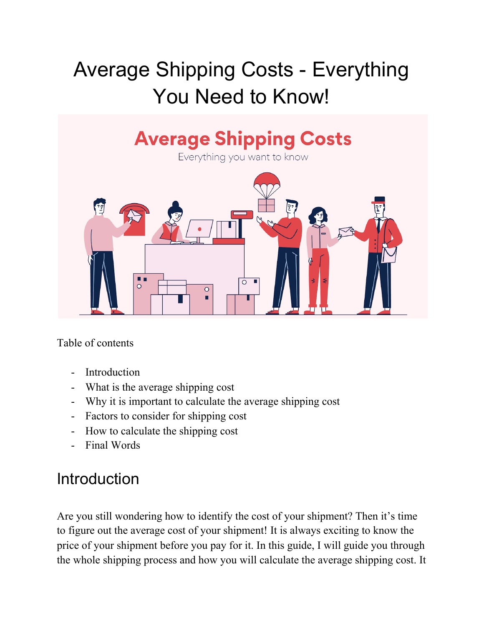# Average Shipping Costs - Everything You Need to Know!



Table of contents

- Introduction
- What is the average shipping cost
- Why it is important to calculate the average shipping cost
- Factors to consider for shipping cost
- How to calculate the shipping cost
- Final Words

# **Introduction**

Are you still wondering how to identify the cost of your shipment? Then it's time to figure out the average cost of your shipment! It is always exciting to know the price of your shipment before you pay for it. In this guide, I will guide you through the whole shipping process and how you will calculate the average shipping cost. It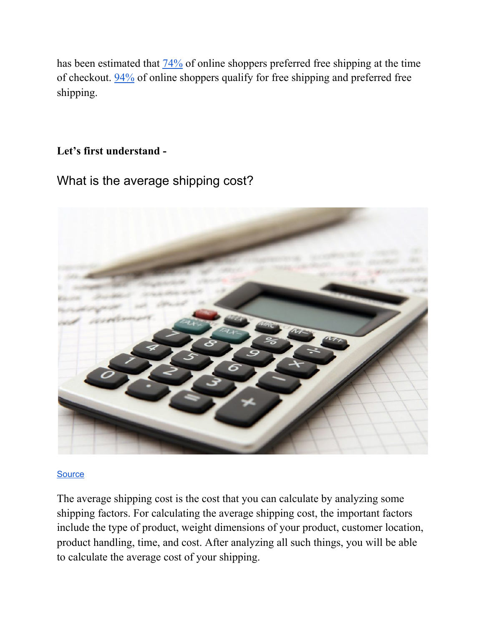has been estimated that [74%](https://www.efulfillmentservice.com/wp-content/uploads/2017/09/State-of-Ecommerce-Order-Fulfillment-Shipping.pdf) of online shoppers preferred free shipping at the time of checkout. [94%](https://www.efulfillmentservice.com/wp-content/uploads/2017/09/State-of-Ecommerce-Order-Fulfillment-Shipping.pdf) of online shoppers qualify for free shipping and preferred free shipping.

# **Let's first understand -**

What is the average shipping cost?



#### **[Source](https://tayloredservices.com/the-average-shipping-cost-fluctuation-throughout-the-year/)**

The average shipping cost is the cost that you can calculate by analyzing some shipping factors. For calculating the average shipping cost, the important factors include the type of product, weight dimensions of your product, customer location, product handling, time, and cost. After analyzing all such things, you will be able to calculate the average cost of your shipping.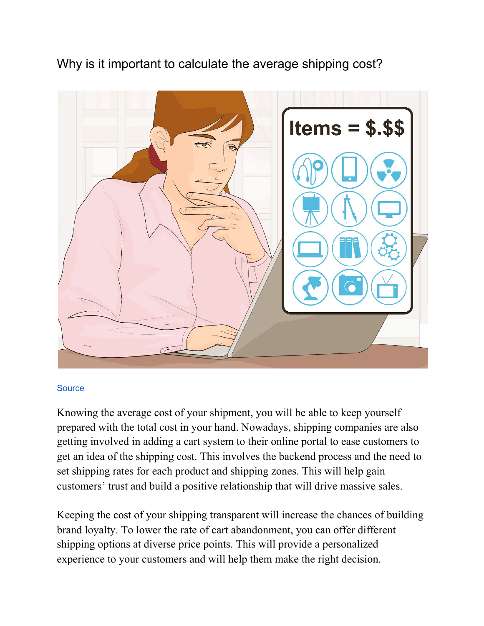Why is it important to calculate the average shipping cost?



#### **[Source](https://www.wikihow.com/Determine-Shipping-Costs)**

Knowing the average cost of your shipment, you will be able to keep yourself prepared with the total cost in your hand. Nowadays, shipping companies are also getting involved in adding a cart system to their online portal to ease customers to get an idea of the shipping cost. This involves the backend process and the need to set shipping rates for each product and shipping zones. This will help gain customers' trust and build a positive relationship that will drive massive sales.

Keeping the cost of your shipping transparent will increase the chances of building brand loyalty. To lower the rate of cart abandonment, you can offer different shipping options at diverse price points. This will provide a personalized experience to your customers and will help them make the right decision.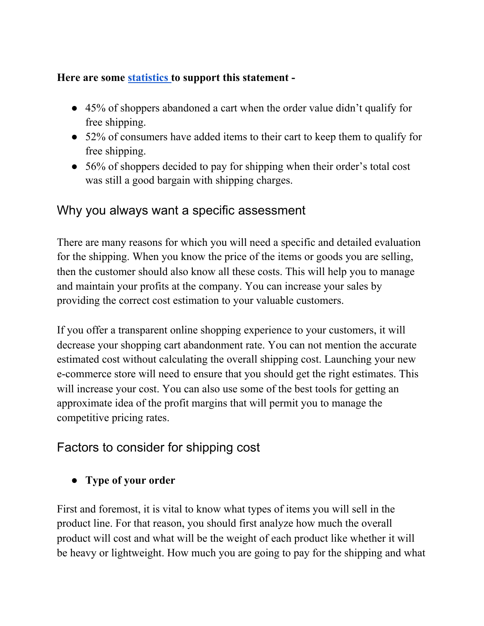#### **Here are some [statistics](https://shippingeasy.com/resources/why-care-about-ecommerce-shipping/) to support this statement -**

- 45% of shoppers abandoned a cart when the order value didn't qualify for free shipping.
- 52% of consumers have added items to their cart to keep them to qualify for free shipping.
- 56% of shoppers decided to pay for shipping when their order's total cost was still a good bargain with shipping charges.

# Why you always want a specific assessment

There are many reasons for which you will need a specific and detailed evaluation for the shipping. When you know the price of the items or goods you are selling, then the customer should also know all these costs. This will help you to manage and maintain your profits at the company. You can increase your sales by providing the correct cost estimation to your valuable customers.

If you offer a transparent online shopping experience to your customers, it will decrease your shopping cart abandonment rate. You can not mention the accurate estimated cost without calculating the overall shipping cost. Launching your new e-commerce store will need to ensure that you should get the right estimates. This will increase your cost. You can also use some of the best tools for getting an approximate idea of the profit margins that will permit you to manage the competitive pricing rates.

# Factors to consider for shipping cost

**● Type of your order**

First and foremost, it is vital to know what types of items you will sell in the product line. For that reason, you should first analyze how much the overall product will cost and what will be the weight of each product like whether it will be heavy or lightweight. How much you are going to pay for the shipping and what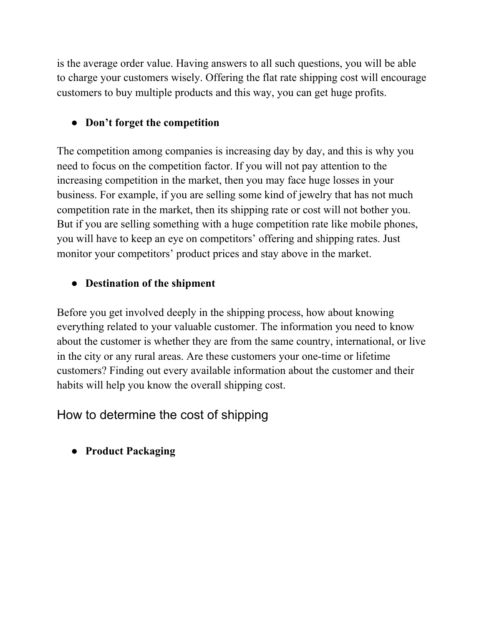is the average order value. Having answers to all such questions, you will be able to charge your customers wisely. Offering the flat rate shipping cost will encourage customers to buy multiple products and this way, you can get huge profits.

# **● Don't forget the competition**

The competition among companies is increasing day by day, and this is why you need to focus on the competition factor. If you will not pay attention to the increasing competition in the market, then you may face huge losses in your business. For example, if you are selling some kind of jewelry that has not much competition rate in the market, then its shipping rate or cost will not bother you. But if you are selling something with a huge competition rate like mobile phones, you will have to keep an eye on competitors' offering and shipping rates. Just monitor your competitors' product prices and stay above in the market.

# **● Destination of the shipment**

Before you get involved deeply in the shipping process, how about knowing everything related to your valuable customer. The information you need to know about the customer is whether they are from the same country, international, or live in the city or any rural areas. Are these customers your one-time or lifetime customers? Finding out every available information about the customer and their habits will help you know the overall shipping cost.

# How to determine the cost of shipping

**● Product Packaging**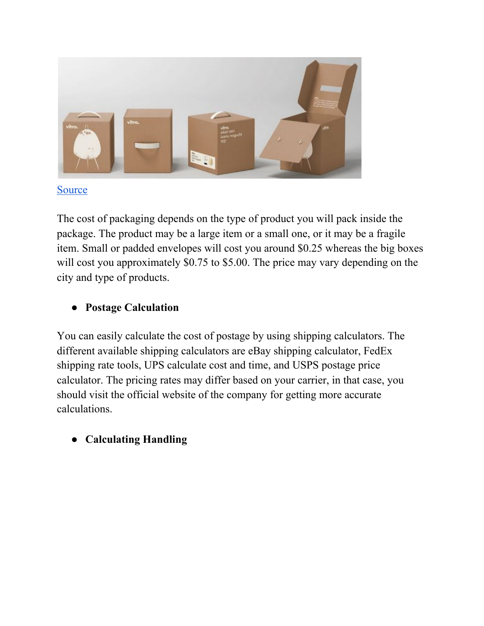

#### [Source](http://www.powerkeepdesign.com/product-design-service-package.html)

The cost of packaging depends on the type of product you will pack inside the package. The product may be a large item or a small one, or it may be a fragile item. Small or padded envelopes will cost you around \$0.25 whereas the big boxes will cost you approximately \$0.75 to \$5.00. The price may vary depending on the city and type of products.

# **● Postage Calculation**

You can easily calculate the cost of postage by using shipping calculators. The different available shipping calculators are eBay shipping calculator, FedEx shipping rate tools, UPS calculate cost and time, and USPS postage price calculator. The pricing rates may differ based on your carrier, in that case, you should visit the official website of the company for getting more accurate calculations.

## **● Calculating Handling**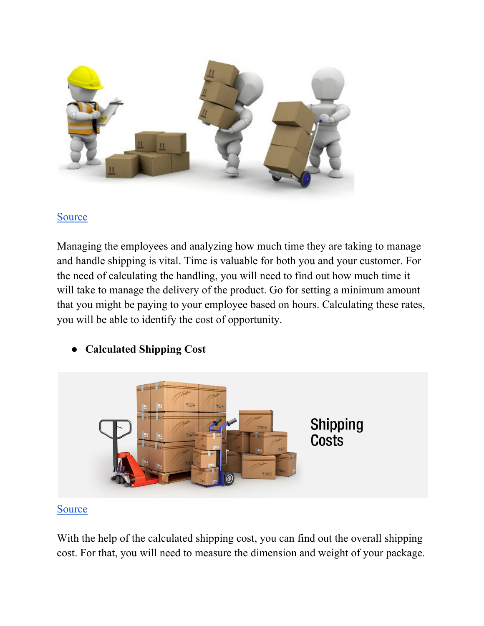

#### [Source](https://sonomacounty.ca.gov/HR/Safety/Workplace-Safety/Material-Equipment-Handling/)

Managing the employees and analyzing how much time they are taking to manage and handle shipping is vital. Time is valuable for both you and your customer. For the need of calculating the handling, you will need to find out how much time it will take to manage the delivery of the product. Go for setting a minimum amount that you might be paying to your employee based on hours. Calculating these rates, you will be able to identify the cost of opportunity.



## **● Calculated Shipping Cost**

#### [Source](https://www.compraloyrecibelo.com/shipping-information/shipping-costs.html)

With the help of the calculated shipping cost, you can find out the overall shipping cost. For that, you will need to measure the dimension and weight of your package.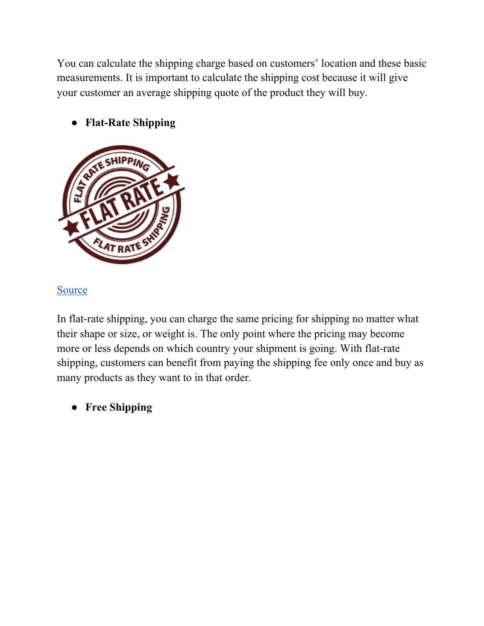You can calculate the shipping charge based on customers' location and these basic measurements. It is important to calculate the shipping cost because it will give your customer an average shipping quote of the product they will buy.



# **● Flat-Rate Shipping**

#### **[Source](https://ignitewoo.com/woocommerce-extensions-plugins-themes/woocommerce-cart-based-flat-rate-shipping/)**

In flat-rate shipping, you can charge the same pricing for shipping no matter what their shape or size, or weight is. The only point where the pricing may become more or less depends on which country your shipment is going. With flat-rate shipping, customers can benefit from paying the shipping fee only once and buy as many products as they want to in that order.

**● Free Shipping**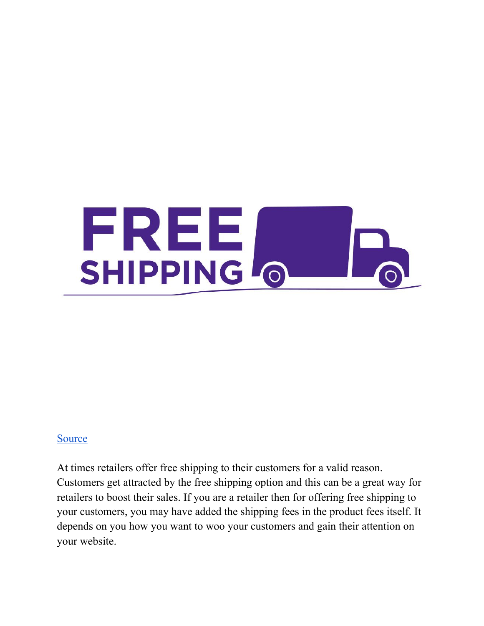

#### [Source](https://www.hallmark.com/offers/online-offers/free-shipping-for-50-dollars-or-more.html)

At times retailers offer free shipping to their customers for a valid reason. Customers get attracted by the free shipping option and this can be a great way for retailers to boost their sales. If you are a retailer then for offering free shipping to your customers, you may have added the shipping fees in the product fees itself. It depends on you how you want to woo your customers and gain their attention on your website.